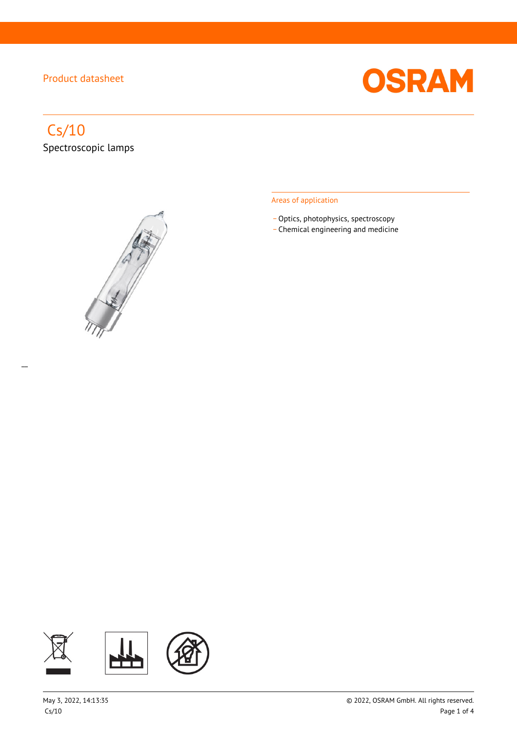

# Cs/10

 $\overline{a}$ 

Spectroscopic lamps



#### Areas of application

- Optics, photophysics, spectroscopy
- \_ Chemical engineering and medicine

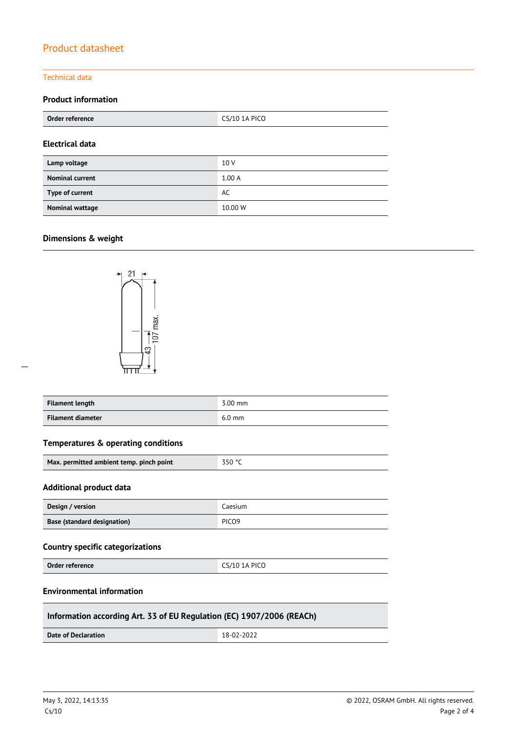#### Technical data

### **Product information**

| Order reference        | <b>CS/10 1A PICO</b> |  |
|------------------------|----------------------|--|
| <b>Electrical data</b> |                      |  |
| Lamp voltage           | 10 V                 |  |
| <b>Nominal current</b> | 1.00A                |  |
| Type of current        | AC                   |  |
| <b>Nominal wattage</b> | 10.00 W              |  |

#### **Dimensions & weight**

 $\overline{a}$ 



| <b>Filament length</b>   | $3.00$ mm |
|--------------------------|-----------|
| <b>Filament diameter</b> | $6.0$ mm  |

#### **Temperatures & operating conditions**

| Max. permitted ambient temp. pinch point | $-350$ °C |
|------------------------------------------|-----------|
|                                          |           |

#### **Additional product data**

| Design / version            | Caesium           |
|-----------------------------|-------------------|
| Base (standard designation) | PICO <sub>9</sub> |

#### **Country specific categorizations**

**Order reference** CS/10 1A PICO

#### **Environmental information**

#### **Information according Art. 33 of EU Regulation (EC) 1907/2006 (REACh)**

**Date of Declaration** 18-02-2022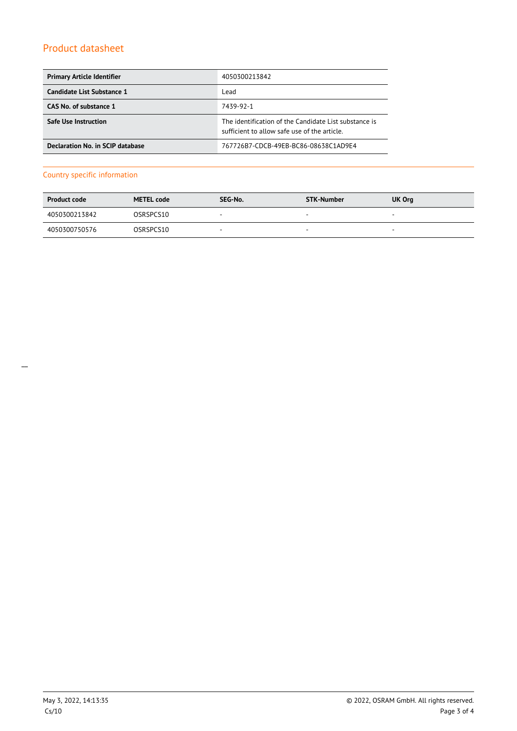| <b>Primary Article Identifier</b> | 4050300213842                                                                                         |
|-----------------------------------|-------------------------------------------------------------------------------------------------------|
| Candidate List Substance 1        | Lead                                                                                                  |
| CAS No. of substance 1            | 7439-92-1                                                                                             |
| <b>Safe Use Instruction</b>       | The identification of the Candidate List substance is<br>sufficient to allow safe use of the article. |
| Declaration No. in SCIP database  | 767726B7-CDCB-49EB-BC86-08638C1AD9E4                                                                  |

#### Country specific information

| <b>Product code</b> | <b>METEL code</b> | SEG-No.                  | STK-Number               | UK Org                   |
|---------------------|-------------------|--------------------------|--------------------------|--------------------------|
| 4050300213842       | OSRSPCS10         | $\sim$                   | $\sim$                   | $\overline{\phantom{a}}$ |
| 4050300750576       | OSRSPCS10         | $\overline{\phantom{a}}$ | $\overline{\phantom{a}}$ | $\overline{\phantom{a}}$ |